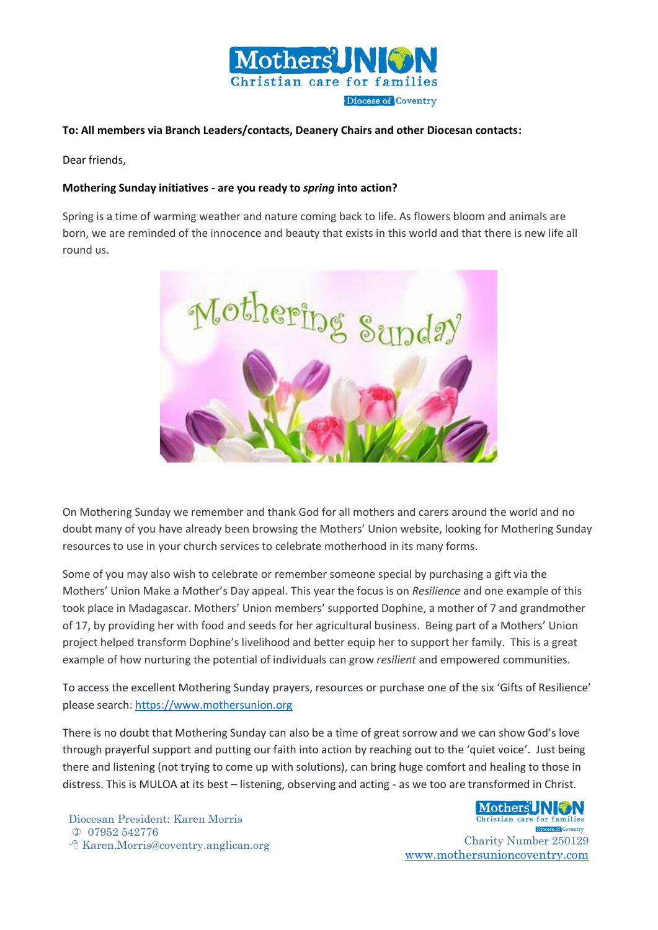

## **To: All members via Branch Leaders/contacts, Deanery Chairs and other Diocesan contacts:**

Dear friends,

## **Mothering Sunday initiatives - are you ready to** *spring* **into action?**

Spring is a time of warming weather and nature coming back to life. As flowers bloom and animals are born, we are reminded of the innocence and beauty that exists in this world and that there is new life all round us.



On Mothering Sunday we remember and thank God for all mothers and carers around the world and no doubt many of you have already been browsing the Mothers' Union website, looking for Mothering Sunday resources to use in your church services to celebrate motherhood in its many forms.

Some of you may also wish to celebrate or remember someone special by purchasing a gift via the Mothers' Union Make a Mother's Day appeal. This year the focus is on *Resilience* and one example of this took place in Madagascar. Mothers' Union members' supported Dophine, a mother of 7 and grandmother of 17, by providing her with food and seeds for her agricultural business. Being part of a Mothers' Union project helped transform Dophine's livelihood and better equip her to support her family. This is a great example of how nurturing the potential of individuals can grow *resilient* and empowered communities.

To access the excellent Mothering Sunday prayers, resources or purchase one of the six 'Gifts of Resilience' please search: [https://www.mothersunion.org](https://www.mothersunion.org/) 

There is no doubt that Mothering Sunday can also be a time of great sorrow and we can show God's love through prayerful support and putting our faith into action by reaching out to the 'quiet voice'. Just being there and listening (not trying to come up with solutions), can bring huge comfort and healing to those in distress. This is MULOA at its best – listening, observing and acting - as we too are transformed in Christ.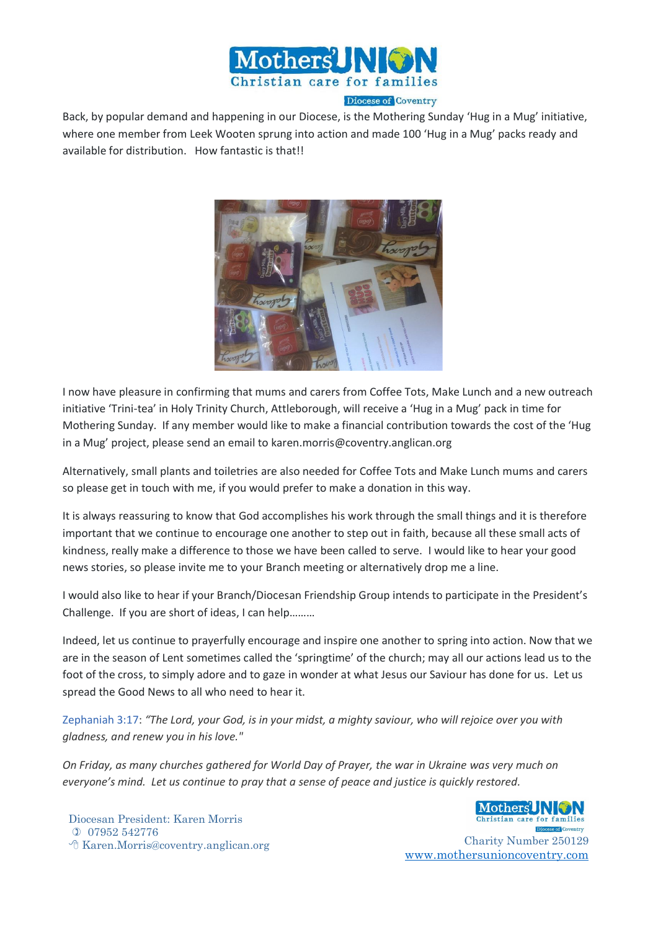

Back, by popular demand and happening in our Diocese, is the Mothering Sunday 'Hug in a Mug' initiative, where one member from Leek Wooten sprung into action and made 100 'Hug in a Mug' packs ready and available for distribution. How fantastic is that!!



I now have pleasure in confirming that mums and carers from Coffee Tots, Make Lunch and a new outreach initiative 'Trini-tea' in Holy Trinity Church, Attleborough, will receive a 'Hug in a Mug' pack in time for Mothering Sunday. If any member would like to make a financial contribution towards the cost of the 'Hug in a Mug' project, please send an email to karen.morris@coventry.anglican.org

Alternatively, small plants and toiletries are also needed for Coffee Tots and Make Lunch mums and carers so please get in touch with me, if you would prefer to make a donation in this way.

It is always reassuring to know that God accomplishes his work through the small things and it is therefore important that we continue to encourage one another to step out in faith, because all these small acts of kindness, really make a difference to those we have been called to serve. I would like to hear your good news stories, so please invite me to your Branch meeting or alternatively drop me a line.

I would also like to hear if your Branch/Diocesan Friendship Group intends to participate in the President's Challenge. If you are short of ideas, I can help………

Indeed, let us continue to prayerfully encourage and inspire one another to spring into action. Now that we are in the season of Lent sometimes called the 'springtime' of the church; may all our actions lead us to the foot of the cross, to simply adore and to gaze in wonder at what Jesus our Saviour has done for us. Let us spread the Good News to all who need to hear it.

[Zephaniah 3:17:](https://www.biblestudytools.com/zephaniah/3-17.html) *"The Lord, your God, is in your midst, a mighty saviour, who will rejoice over you with gladness, and renew you in his love."*

*On Friday, as many churches gathered for World Day of Prayer, the war in Ukraine was very much on everyone's mind. Let us continue to pray that a sense of peace and justice is quickly restored.*

Diocesan President: Karen Morris 07952 542776 Karen.Morris@coventry.anglican.org Charity Number 250129

Mothers' NGN